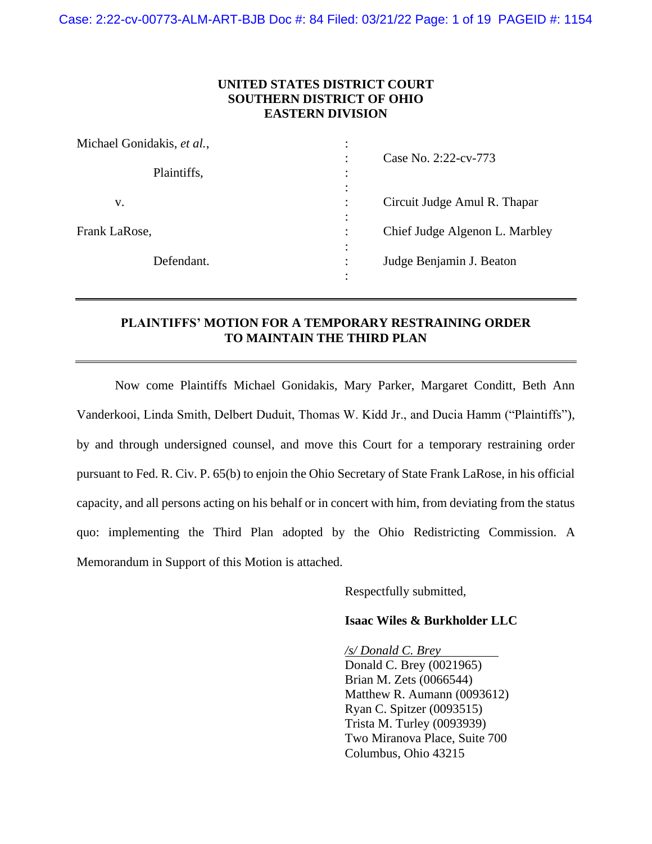## **UNITED STATES DISTRICT COURT SOUTHERN DISTRICT OF OHIO EASTERN DIVISION**

| Michael Gonidakis, et al.,<br>Plaintiffs, | ٠                                                     |
|-------------------------------------------|-------------------------------------------------------|
|                                           | Case No. 2:22-cv-773<br>٠<br>٠                        |
|                                           | $\bullet$                                             |
| v.                                        | Circuit Judge Amul R. Thapar<br>٠<br>٠                |
| Frank LaRose,                             | $\bullet$<br>Chief Judge Algenon L. Marbley<br>٠<br>٠ |
| Defendant.                                | $\bullet$<br>Judge Benjamin J. Beaton                 |
|                                           |                                                       |

# **PLAINTIFFS' MOTION FOR A TEMPORARY RESTRAINING ORDER TO MAINTAIN THE THIRD PLAN**

Now come Plaintiffs Michael Gonidakis, Mary Parker, Margaret Conditt, Beth Ann Vanderkooi, Linda Smith, Delbert Duduit, Thomas W. Kidd Jr., and Ducia Hamm ("Plaintiffs"), by and through undersigned counsel, and move this Court for a temporary restraining order pursuant to Fed. R. Civ. P. 65(b) to enjoin the Ohio Secretary of State Frank LaRose, in his official capacity, and all persons acting on his behalf or in concert with him, from deviating from the status quo: implementing the Third Plan adopted by the Ohio Redistricting Commission. A Memorandum in Support of this Motion is attached.

Respectfully submitted,

### **Isaac Wiles & Burkholder LLC**

*/s/ Donald C. Brey* Donald C. Brey (0021965) Brian M. Zets (0066544) Matthew R. Aumann (0093612) Ryan C. Spitzer (0093515) Trista M. Turley (0093939) Two Miranova Place, Suite 700 Columbus, Ohio 43215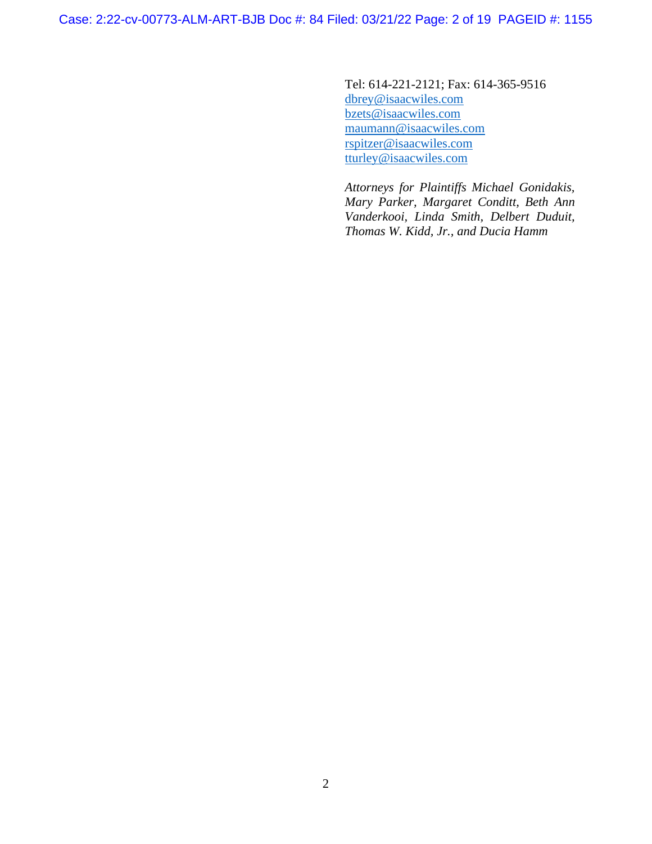Case: 2:22-cv-00773-ALM-ART-BJB Doc #: 84 Filed: 03/21/22 Page: 2 of 19 PAGEID #: 1155

Tel: 614-221-2121; Fax: 614-365-9516 [dbrey@isaacwiles.com](mailto:dbrey@isaacwiles.com) [bzets@isaacwiles.com](mailto:bzets@isaacwiles.com) [maumann@isaacwiles.com](mailto:maumann@isaacwiles.com) [rspitzer@isaacwiles.com](mailto:rspitzer@isaacwiles.com) tturley@isaacwiles.com

*Attorneys for Plaintiffs Michael Gonidakis, Mary Parker, Margaret Conditt, Beth Ann Vanderkooi, Linda Smith, Delbert Duduit, Thomas W. Kidd, Jr., and Ducia Hamm*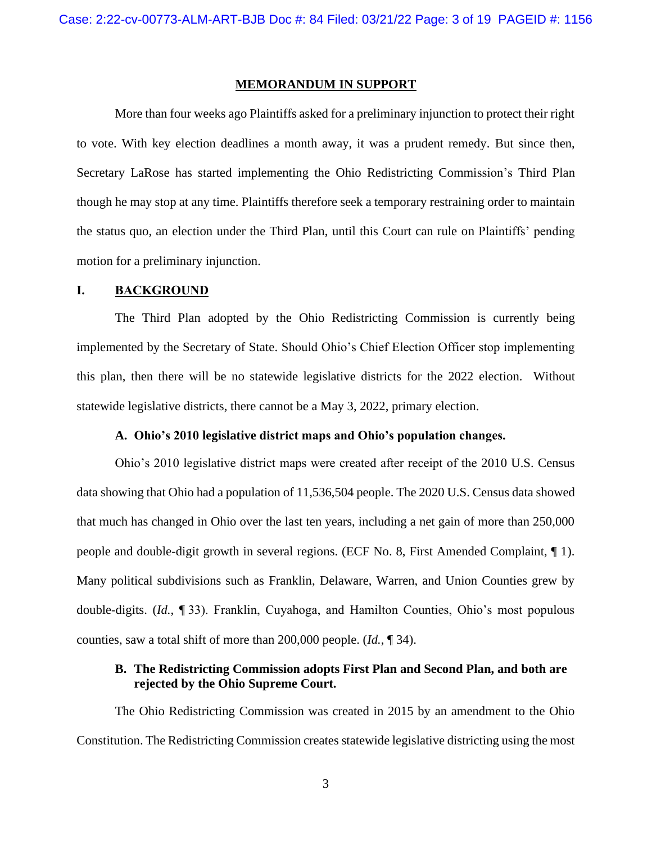#### **MEMORANDUM IN SUPPORT**

More than four weeks ago Plaintiffs asked for a preliminary injunction to protect their right to vote. With key election deadlines a month away, it was a prudent remedy. But since then, Secretary LaRose has started implementing the Ohio Redistricting Commission's Third Plan though he may stop at any time. Plaintiffs therefore seek a temporary restraining order to maintain the status quo, an election under the Third Plan, until this Court can rule on Plaintiffs' pending motion for a preliminary injunction.

#### **I. BACKGROUND**

The Third Plan adopted by the Ohio Redistricting Commission is currently being implemented by the Secretary of State. Should Ohio's Chief Election Officer stop implementing this plan, then there will be no statewide legislative districts for the 2022 election. Without statewide legislative districts, there cannot be a May 3, 2022, primary election.

## **A. Ohio's 2010 legislative district maps and Ohio's population changes.**

Ohio's 2010 legislative district maps were created after receipt of the 2010 U.S. Census data showing that Ohio had a population of 11,536,504 people. The 2020 U.S. Census data showed that much has changed in Ohio over the last ten years, including a net gain of more than 250,000 people and double-digit growth in several regions. (ECF No. 8, First Amended Complaint, ¶ 1). Many political subdivisions such as Franklin, Delaware, Warren, and Union Counties grew by double-digits. (*Id.*, ¶ 33). Franklin, Cuyahoga, and Hamilton Counties, Ohio's most populous counties, saw a total shift of more than 200,000 people. (*Id.*, ¶ 34).

# **B. The Redistricting Commission adopts First Plan and Second Plan, and both are rejected by the Ohio Supreme Court.**

The Ohio Redistricting Commission was created in 2015 by an amendment to the Ohio Constitution. The Redistricting Commission creates statewide legislative districting using the most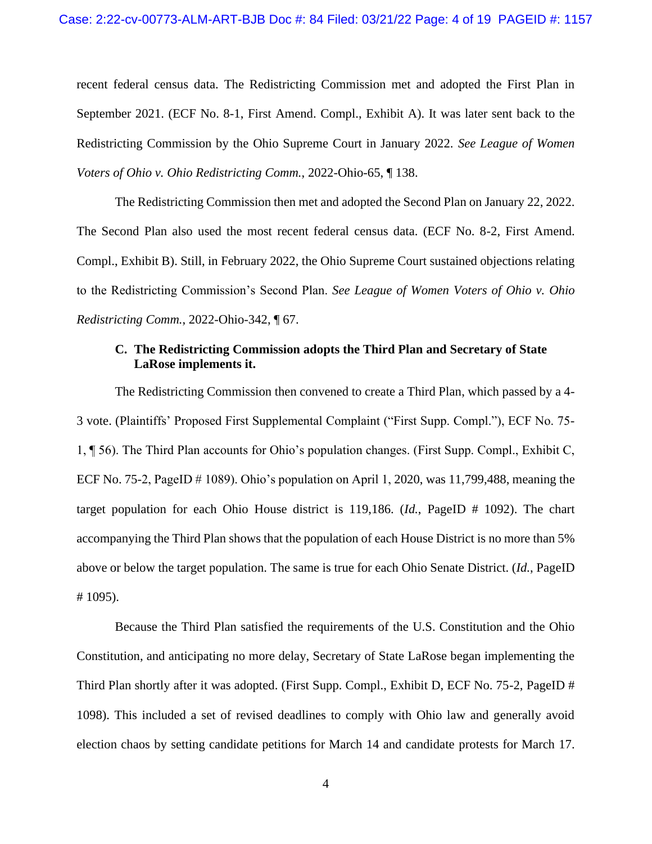recent federal census data. The Redistricting Commission met and adopted the First Plan in September 2021. (ECF No. 8-1, First Amend. Compl., Exhibit A). It was later sent back to the Redistricting Commission by the Ohio Supreme Court in January 2022. *See League of Women Voters of Ohio v. Ohio Redistricting Comm.*, 2022-Ohio-65, ¶ 138.

The Redistricting Commission then met and adopted the Second Plan on January 22, 2022. The Second Plan also used the most recent federal census data. (ECF No. 8-2, First Amend. Compl., Exhibit B). Still, in February 2022, the Ohio Supreme Court sustained objections relating to the Redistricting Commission's Second Plan. *See League of Women Voters of Ohio v. Ohio Redistricting Comm.*, 2022-Ohio-342, ¶ 67.

# **C. The Redistricting Commission adopts the Third Plan and Secretary of State LaRose implements it.**

The Redistricting Commission then convened to create a Third Plan, which passed by a 4- 3 vote. (Plaintiffs' Proposed First Supplemental Complaint ("First Supp. Compl."), ECF No. 75- 1, ¶ 56). The Third Plan accounts for Ohio's population changes. (First Supp. Compl., Exhibit C, ECF No. 75-2, PageID  $\#$  1089). Ohio's population on April 1, 2020, was 11,799,488, meaning the target population for each Ohio House district is 119,186. (*Id.*, PageID # 1092). The chart accompanying the Third Plan shows that the population of each House District is no more than 5% above or below the target population. The same is true for each Ohio Senate District. (*Id.*, PageID # 1095).

Because the Third Plan satisfied the requirements of the U.S. Constitution and the Ohio Constitution, and anticipating no more delay, Secretary of State LaRose began implementing the Third Plan shortly after it was adopted. (First Supp. Compl., Exhibit D, ECF No. 75-2, PageID # 1098). This included a set of revised deadlines to comply with Ohio law and generally avoid election chaos by setting candidate petitions for March 14 and candidate protests for March 17.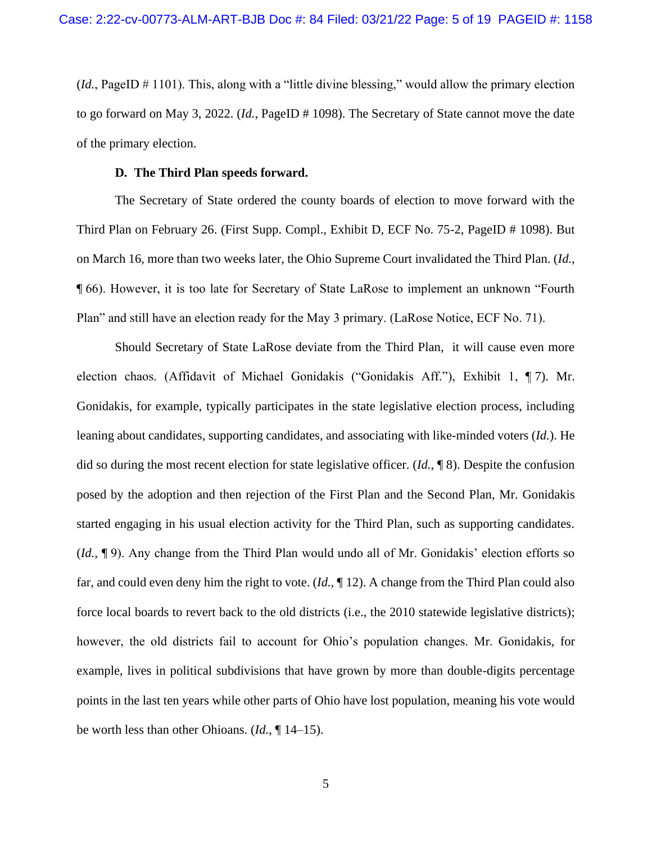(*Id.*, PageID # 1101). This, along with a "little divine blessing," would allow the primary election to go forward on May 3, 2022. (*Id.*, PageID # 1098). The Secretary of State cannot move the date of the primary election.

#### **D. The Third Plan speeds forward.**

The Secretary of State ordered the county boards of election to move forward with the Third Plan on February 26. (First Supp. Compl., Exhibit D, ECF No. 75-2, PageID # 1098). But on March 16, more than two weeks later, the Ohio Supreme Court invalidated the Third Plan. (*Id.*, ¶ 66). However, it is too late for Secretary of State LaRose to implement an unknown "Fourth Plan" and still have an election ready for the May 3 primary. (LaRose Notice, ECF No. 71).

Should Secretary of State LaRose deviate from the Third Plan, it will cause even more election chaos. (Affidavit of Michael Gonidakis ("Gonidakis Aff."), Exhibit 1, ¶ 7). Mr. Gonidakis, for example, typically participates in the state legislative election process, including leaning about candidates, supporting candidates, and associating with like-minded voters (*Id.*). He did so during the most recent election for state legislative officer. (*Id.*, ¶ 8). Despite the confusion posed by the adoption and then rejection of the First Plan and the Second Plan, Mr. Gonidakis started engaging in his usual election activity for the Third Plan, such as supporting candidates. (*Id.*, ¶ 9). Any change from the Third Plan would undo all of Mr. Gonidakis' election efforts so far, and could even deny him the right to vote. (*Id.*, ¶ 12). A change from the Third Plan could also force local boards to revert back to the old districts (i.e., the 2010 statewide legislative districts); however, the old districts fail to account for Ohio's population changes. Mr. Gonidakis, for example, lives in political subdivisions that have grown by more than double-digits percentage points in the last ten years while other parts of Ohio have lost population, meaning his vote would be worth less than other Ohioans. (*Id.*, ¶ 14–15).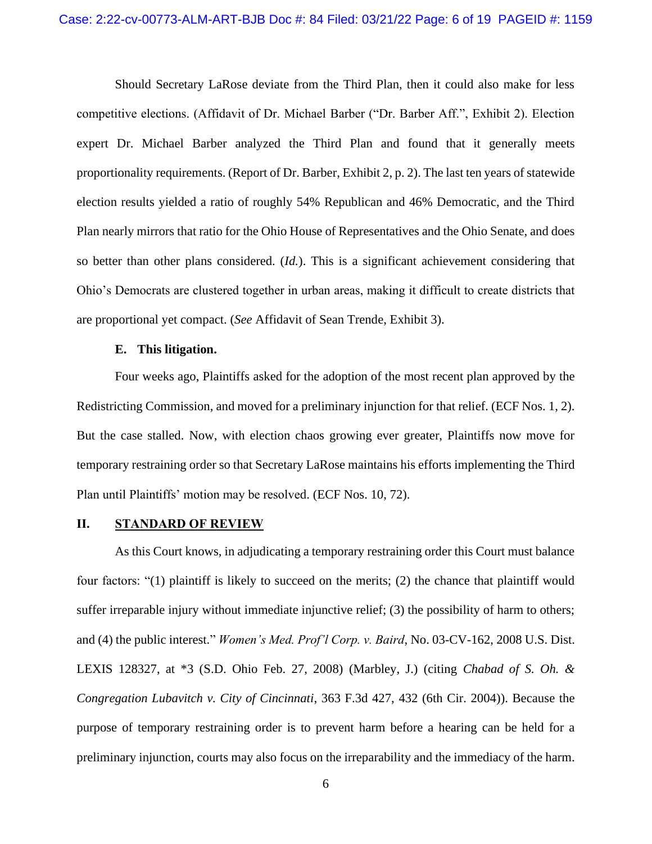Should Secretary LaRose deviate from the Third Plan, then it could also make for less competitive elections. (Affidavit of Dr. Michael Barber ("Dr. Barber Aff.", Exhibit 2). Election expert Dr. Michael Barber analyzed the Third Plan and found that it generally meets proportionality requirements. (Report of Dr. Barber, Exhibit 2, p. 2). The last ten years of statewide election results yielded a ratio of roughly 54% Republican and 46% Democratic, and the Third Plan nearly mirrors that ratio for the Ohio House of Representatives and the Ohio Senate, and does so better than other plans considered. (*Id.*). This is a significant achievement considering that Ohio's Democrats are clustered together in urban areas, making it difficult to create districts that are proportional yet compact. (*See* Affidavit of Sean Trende, Exhibit 3).

#### **E. This litigation.**

Four weeks ago, Plaintiffs asked for the adoption of the most recent plan approved by the Redistricting Commission, and moved for a preliminary injunction for that relief. (ECF Nos. 1, 2). But the case stalled. Now, with election chaos growing ever greater, Plaintiffs now move for temporary restraining order so that Secretary LaRose maintains his efforts implementing the Third Plan until Plaintiffs' motion may be resolved. (ECF Nos. 10, 72).

#### **II. STANDARD OF REVIEW**

As this Court knows, in adjudicating a temporary restraining order this Court must balance four factors: "(1) plaintiff is likely to succeed on the merits; (2) the chance that plaintiff would suffer irreparable injury without immediate injunctive relief; (3) the possibility of harm to others; and (4) the public interest." *Women's Med. Prof'l Corp. v. Baird*, No. 03-CV-162, 2008 U.S. Dist. LEXIS 128327, at \*3 (S.D. Ohio Feb. 27, 2008) (Marbley, J.) (citing *Chabad of S. Oh. & Congregation Lubavitch v. City of Cincinnati*, 363 F.3d 427, 432 (6th Cir. 2004)). Because the purpose of temporary restraining order is to prevent harm before a hearing can be held for a preliminary injunction, courts may also focus on the irreparability and the immediacy of the harm.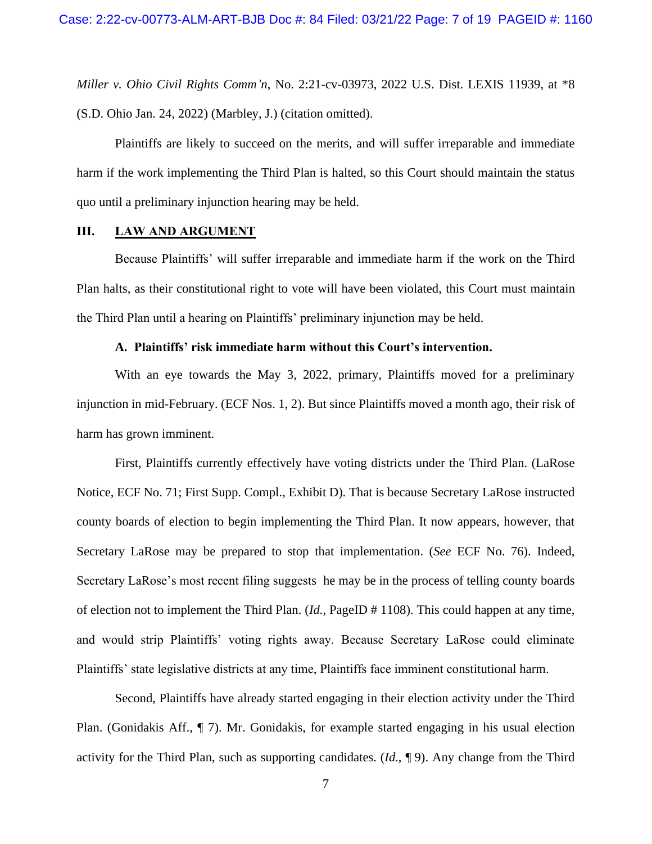*Miller v. Ohio Civil Rights Comm'n*, No. 2:21-cv-03973, 2022 U.S. Dist. LEXIS 11939, at \*8 (S.D. Ohio Jan. 24, 2022) (Marbley, J.) (citation omitted).

Plaintiffs are likely to succeed on the merits, and will suffer irreparable and immediate harm if the work implementing the Third Plan is halted, so this Court should maintain the status quo until a preliminary injunction hearing may be held.

#### **III. LAW AND ARGUMENT**

Because Plaintiffs' will suffer irreparable and immediate harm if the work on the Third Plan halts, as their constitutional right to vote will have been violated, this Court must maintain the Third Plan until a hearing on Plaintiffs' preliminary injunction may be held.

## **A. Plaintiffs' risk immediate harm without this Court's intervention.**

With an eye towards the May 3, 2022, primary, Plaintiffs moved for a preliminary injunction in mid-February. (ECF Nos. 1, 2). But since Plaintiffs moved a month ago, their risk of harm has grown imminent.

First, Plaintiffs currently effectively have voting districts under the Third Plan. (LaRose Notice, ECF No. 71; First Supp. Compl., Exhibit D). That is because Secretary LaRose instructed county boards of election to begin implementing the Third Plan. It now appears, however, that Secretary LaRose may be prepared to stop that implementation. (*See* ECF No. 76). Indeed, Secretary LaRose's most recent filing suggests he may be in the process of telling county boards of election not to implement the Third Plan. (*Id.*, PageID # 1108). This could happen at any time, and would strip Plaintiffs' voting rights away. Because Secretary LaRose could eliminate Plaintiffs' state legislative districts at any time, Plaintiffs face imminent constitutional harm.

Second, Plaintiffs have already started engaging in their election activity under the Third Plan. (Gonidakis Aff., ¶ 7). Mr. Gonidakis, for example started engaging in his usual election activity for the Third Plan, such as supporting candidates. (*Id.*, ¶ 9). Any change from the Third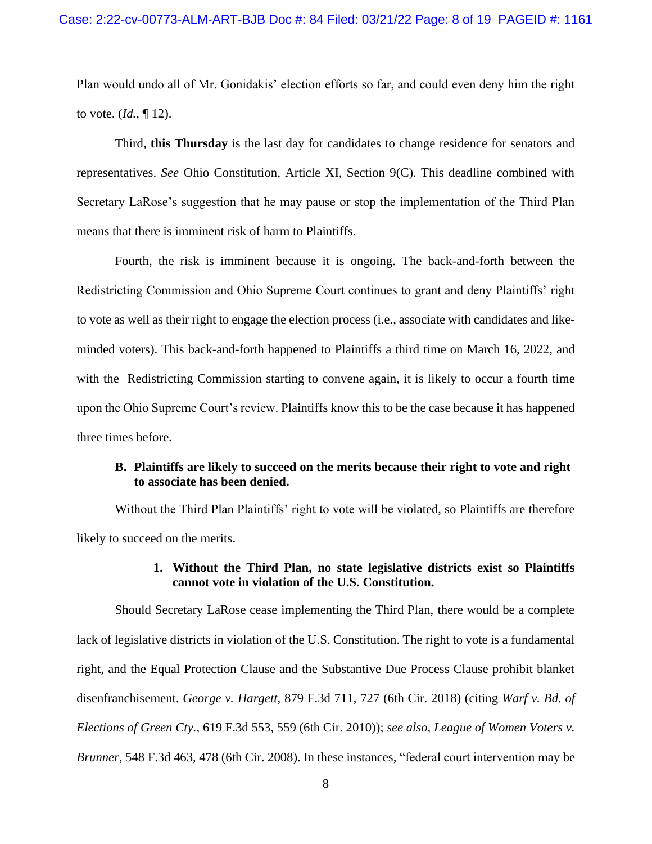Plan would undo all of Mr. Gonidakis' election efforts so far, and could even deny him the right to vote. (*Id.*, ¶ 12).

Third, **this Thursday** is the last day for candidates to change residence for senators and representatives. *See* Ohio Constitution, Article XI, Section 9(C). This deadline combined with Secretary LaRose's suggestion that he may pause or stop the implementation of the Third Plan means that there is imminent risk of harm to Plaintiffs.

Fourth, the risk is imminent because it is ongoing. The back-and-forth between the Redistricting Commission and Ohio Supreme Court continues to grant and deny Plaintiffs' right to vote as well as their right to engage the election process (i.e., associate with candidates and likeminded voters). This back-and-forth happened to Plaintiffs a third time on March 16, 2022, and with the Redistricting Commission starting to convene again, it is likely to occur a fourth time upon the Ohio Supreme Court's review. Plaintiffs know this to be the case because it has happened three times before.

# **B. Plaintiffs are likely to succeed on the merits because their right to vote and right to associate has been denied.**

Without the Third Plan Plaintiffs' right to vote will be violated, so Plaintiffs are therefore likely to succeed on the merits.

### **1. Without the Third Plan, no state legislative districts exist so Plaintiffs cannot vote in violation of the U.S. Constitution.**

Should Secretary LaRose cease implementing the Third Plan, there would be a complete lack of legislative districts in violation of the U.S. Constitution. The right to vote is a fundamental right, and the Equal Protection Clause and the Substantive Due Process Clause prohibit blanket disenfranchisement. *George v. Hargett*, 879 F.3d 711, 727 (6th Cir. 2018) (citing *Warf v. Bd. of Elections of Green Cty.*, 619 F.3d 553, 559 (6th Cir. 2010)); *see also, League of Women Voters v. Brunner*, 548 F.3d 463, 478 (6th Cir. 2008). In these instances, "federal court intervention may be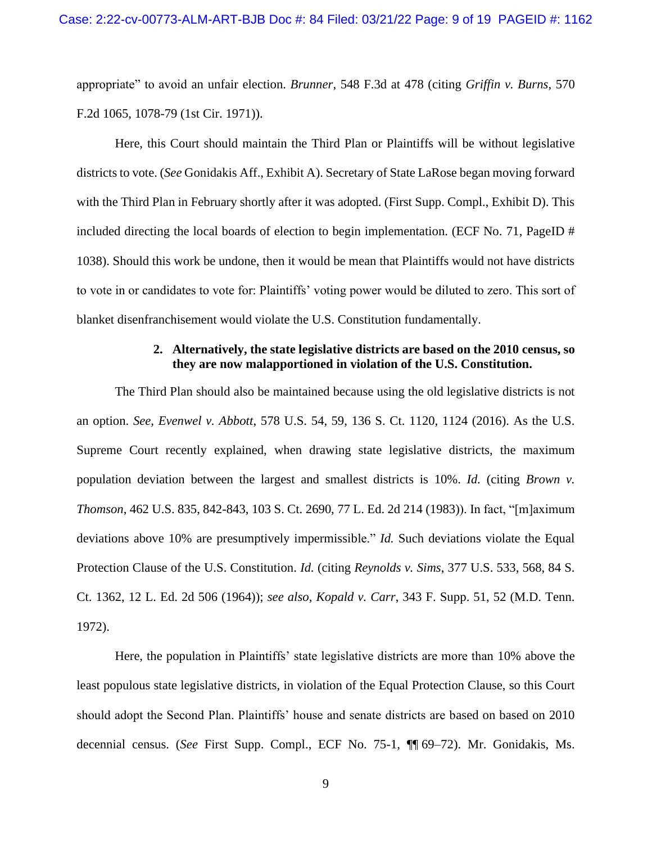appropriate" to avoid an unfair election. *Brunner*, 548 F.3d at 478 (citing *Griffin v. Burns*, 570 F.2d 1065, 1078-79 (1st Cir. 1971)).

Here, this Court should maintain the Third Plan or Plaintiffs will be without legislative districts to vote. (*See* Gonidakis Aff., Exhibit A). Secretary of State LaRose began moving forward with the Third Plan in February shortly after it was adopted. (First Supp. Compl., Exhibit D). This included directing the local boards of election to begin implementation. (ECF No. 71, PageID # 1038). Should this work be undone, then it would be mean that Plaintiffs would not have districts to vote in or candidates to vote for: Plaintiffs' voting power would be diluted to zero. This sort of blanket disenfranchisement would violate the U.S. Constitution fundamentally.

# **2. Alternatively, the state legislative districts are based on the 2010 census, so they are now malapportioned in violation of the U.S. Constitution.**

The Third Plan should also be maintained because using the old legislative districts is not an option. *See, Evenwel v. Abbott*, 578 U.S. 54, 59, 136 S. Ct. 1120, 1124 (2016). As the U.S. Supreme Court recently explained, when drawing state legislative districts, the maximum population deviation between the largest and smallest districts is 10%. *Id.* (citing *Brown v. Thomson*, 462 U.S. 835, 842-843, 103 S. Ct. 2690, 77 L. Ed. 2d 214 (1983)). In fact, "[m]aximum deviations above 10% are presumptively impermissible." *Id.* Such deviations violate the Equal Protection Clause of the U.S. Constitution. *Id.* (citing *Reynolds v. Sims*, 377 U.S. 533, 568, 84 S. Ct. 1362, 12 L. Ed. 2d 506 (1964)); *see also, Kopald v. Carr*, 343 F. Supp. 51, 52 (M.D. Tenn. 1972).

Here, the population in Plaintiffs' state legislative districts are more than 10% above the least populous state legislative districts, in violation of the Equal Protection Clause, so this Court should adopt the Second Plan. Plaintiffs' house and senate districts are based on based on 2010 decennial census. (*See* First Supp. Compl., ECF No. 75-1, ¶¶ 69–72). Mr. Gonidakis, Ms.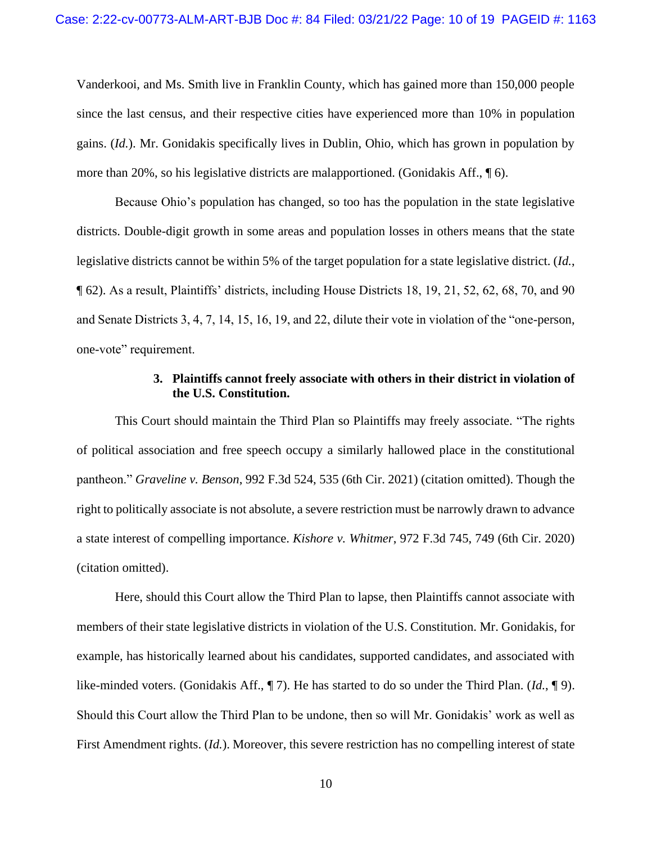Vanderkooi, and Ms. Smith live in Franklin County, which has gained more than 150,000 people since the last census, and their respective cities have experienced more than 10% in population gains. (*Id.*). Mr. Gonidakis specifically lives in Dublin, Ohio, which has grown in population by more than 20%, so his legislative districts are malapportioned. (Gonidakis Aff., ¶ 6).

Because Ohio's population has changed, so too has the population in the state legislative districts. Double-digit growth in some areas and population losses in others means that the state legislative districts cannot be within 5% of the target population for a state legislative district. (*Id.*, ¶ 62). As a result, Plaintiffs' districts, including House Districts 18, 19, 21, 52, 62, 68, 70, and 90 and Senate Districts 3, 4, 7, 14, 15, 16, 19, and 22, dilute their vote in violation of the "one-person, one-vote" requirement.

### **3. Plaintiffs cannot freely associate with others in their district in violation of the U.S. Constitution.**

This Court should maintain the Third Plan so Plaintiffs may freely associate. "The rights of political association and free speech occupy a similarly hallowed place in the constitutional pantheon." *Graveline v. Benson*, 992 F.3d 524, 535 (6th Cir. 2021) (citation omitted). Though the right to politically associate is not absolute, a severe restriction must be narrowly drawn to advance a state interest of compelling importance. *Kishore v. Whitmer*, 972 F.3d 745, 749 (6th Cir. 2020) (citation omitted).

Here, should this Court allow the Third Plan to lapse, then Plaintiffs cannot associate with members of their state legislative districts in violation of the U.S. Constitution. Mr. Gonidakis, for example, has historically learned about his candidates, supported candidates, and associated with like-minded voters. (Gonidakis Aff., ¶ 7). He has started to do so under the Third Plan. (*Id.*, ¶ 9). Should this Court allow the Third Plan to be undone, then so will Mr. Gonidakis' work as well as First Amendment rights. (*Id.*). Moreover, this severe restriction has no compelling interest of state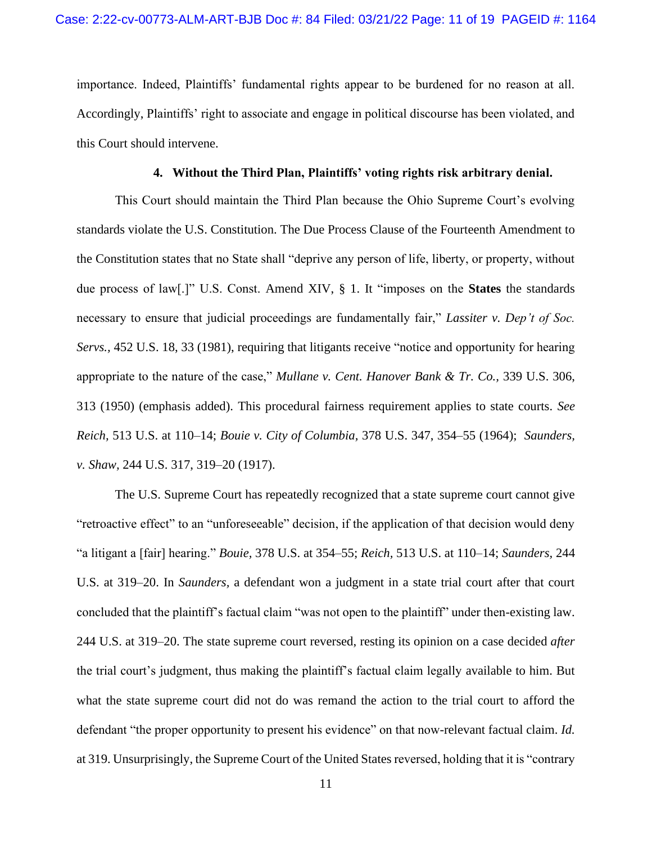importance. Indeed, Plaintiffs' fundamental rights appear to be burdened for no reason at all. Accordingly, Plaintiffs' right to associate and engage in political discourse has been violated, and this Court should intervene.

### **4. Without the Third Plan, Plaintiffs' voting rights risk arbitrary denial.**

This Court should maintain the Third Plan because the Ohio Supreme Court's evolving standards violate the U.S. Constitution. The Due Process Clause of the Fourteenth Amendment to the Constitution states that no State shall "deprive any person of life, liberty, or property, without due process of law[.]" U.S. Const. Amend XIV, § 1. It "imposes on the **States** the standards necessary to ensure that judicial proceedings are fundamentally fair," *Lassiter v. Dep't of Soc. Servs.,* 452 U.S. 18, 33 (1981), requiring that litigants receive "notice and opportunity for hearing appropriate to the nature of the case," *Mullane v. Cent. Hanover Bank & Tr. Co.,* 339 U.S. 306, 313 (1950) (emphasis added). This procedural fairness requirement applies to state courts. *See Reich,* 513 U.S. at 110–14; *Bouie v. City of Columbia,* 378 U.S. 347, 354–55 (1964); *Saunders, v. Shaw,* 244 U.S. 317, 319–20 (1917).

The U.S. Supreme Court has repeatedly recognized that a state supreme court cannot give "retroactive effect" to an "unforeseeable" decision, if the application of that decision would deny "a litigant a [fair] hearing." *Bouie,* 378 U.S. at 354–55; *Reich,* 513 U.S. at 110–14; *Saunders,* 244 U.S. at 319–20. In *Saunders,* a defendant won a judgment in a state trial court after that court concluded that the plaintiff's factual claim "was not open to the plaintiff" under then-existing law. 244 U.S. at 319–20. The state supreme court reversed, resting its opinion on a case decided *after*  the trial court's judgment, thus making the plaintiff's factual claim legally available to him. But what the state supreme court did not do was remand the action to the trial court to afford the defendant "the proper opportunity to present his evidence" on that now-relevant factual claim. *Id.*  at 319. Unsurprisingly, the Supreme Court of the United States reversed, holding that it is "contrary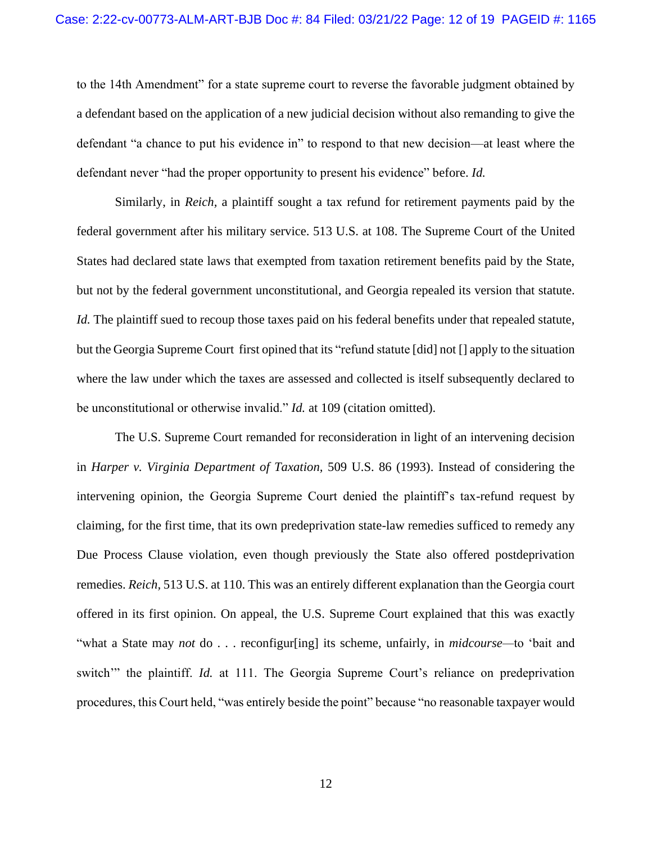to the 14th Amendment" for a state supreme court to reverse the favorable judgment obtained by a defendant based on the application of a new judicial decision without also remanding to give the defendant "a chance to put his evidence in" to respond to that new decision—at least where the defendant never "had the proper opportunity to present his evidence" before. *Id.* 

Similarly, in *Reich,* a plaintiff sought a tax refund for retirement payments paid by the federal government after his military service. 513 U.S. at 108. The Supreme Court of the United States had declared state laws that exempted from taxation retirement benefits paid by the State, but not by the federal government unconstitutional, and Georgia repealed its version that statute. *Id.* The plaintiff sued to recoup those taxes paid on his federal benefits under that repealed statute, but the Georgia Supreme Court first opined that its "refund statute [did] not [] apply to the situation where the law under which the taxes are assessed and collected is itself subsequently declared to be unconstitutional or otherwise invalid." *Id.* at 109 (citation omitted).

The U.S. Supreme Court remanded for reconsideration in light of an intervening decision in *Harper v. Virginia Department of Taxation,* 509 U.S. 86 (1993). Instead of considering the intervening opinion, the Georgia Supreme Court denied the plaintiff's tax-refund request by claiming, for the first time, that its own predeprivation state-law remedies sufficed to remedy any Due Process Clause violation, even though previously the State also offered postdeprivation remedies. *Reich,* 513 U.S. at 110. This was an entirely different explanation than the Georgia court offered in its first opinion. On appeal, the U.S. Supreme Court explained that this was exactly "what a State may *not* do . . . reconfigur[ing] its scheme, unfairly, in *midcourse—*to 'bait and switch'" the plaintiff. *Id.* at 111. The Georgia Supreme Court's reliance on predeprivation procedures, this Court held, "was entirely beside the point" because "no reasonable taxpayer would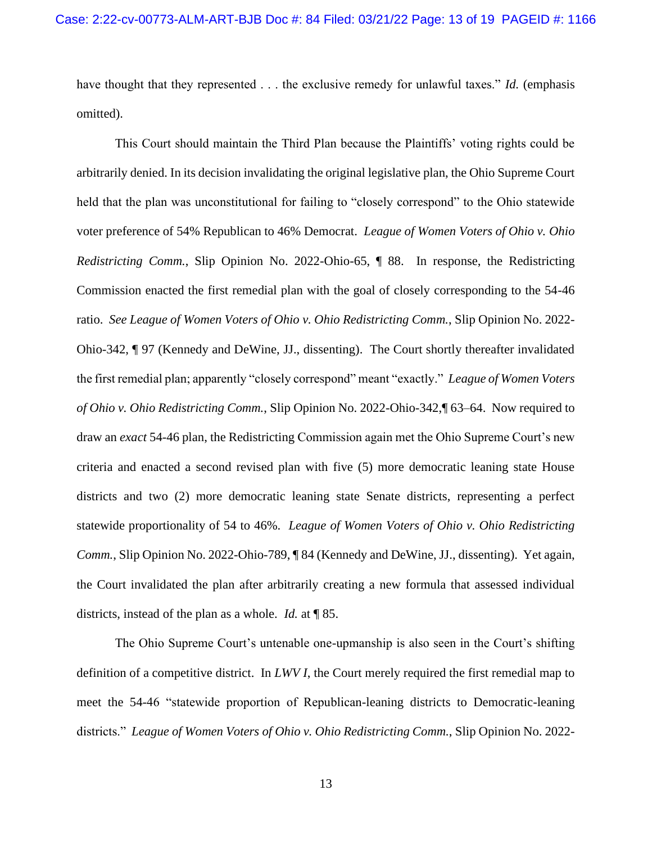have thought that they represented . . . the exclusive remedy for unlawful taxes." *Id.* (emphasis omitted).

This Court should maintain the Third Plan because the Plaintiffs' voting rights could be arbitrarily denied. In its decision invalidating the original legislative plan, the Ohio Supreme Court held that the plan was unconstitutional for failing to "closely correspond" to the Ohio statewide voter preference of 54% Republican to 46% Democrat. *League of Women Voters of Ohio v. Ohio Redistricting Comm.*, Slip Opinion No. 2022-Ohio-65, ¶ 88. In response, the Redistricting Commission enacted the first remedial plan with the goal of closely corresponding to the 54-46 ratio. *See League of Women Voters of Ohio v. Ohio Redistricting Comm.*, Slip Opinion No. 2022- Ohio-342, ¶ 97 (Kennedy and DeWine, JJ., dissenting). The Court shortly thereafter invalidated the first remedial plan; apparently "closely correspond" meant "exactly." *League of Women Voters of Ohio v. Ohio Redistricting Comm.*, Slip Opinion No. 2022-Ohio-342,¶ 63–64. Now required to draw an *exact* 54-46 plan, the Redistricting Commission again met the Ohio Supreme Court's new criteria and enacted a second revised plan with five (5) more democratic leaning state House districts and two (2) more democratic leaning state Senate districts, representing a perfect statewide proportionality of 54 to 46%. *League of Women Voters of Ohio v. Ohio Redistricting Comm.*, Slip Opinion No. 2022-Ohio-789, ¶ 84 (Kennedy and DeWine, JJ., dissenting). Yet again, the Court invalidated the plan after arbitrarily creating a new formula that assessed individual districts, instead of the plan as a whole. *Id.* at ¶ 85.

The Ohio Supreme Court's untenable one-upmanship is also seen in the Court's shifting definition of a competitive district. In *LWV I*, the Court merely required the first remedial map to meet the 54-46 "statewide proportion of Republican-leaning districts to Democratic-leaning districts." *League of Women Voters of Ohio v. Ohio Redistricting Comm.*, Slip Opinion No. 2022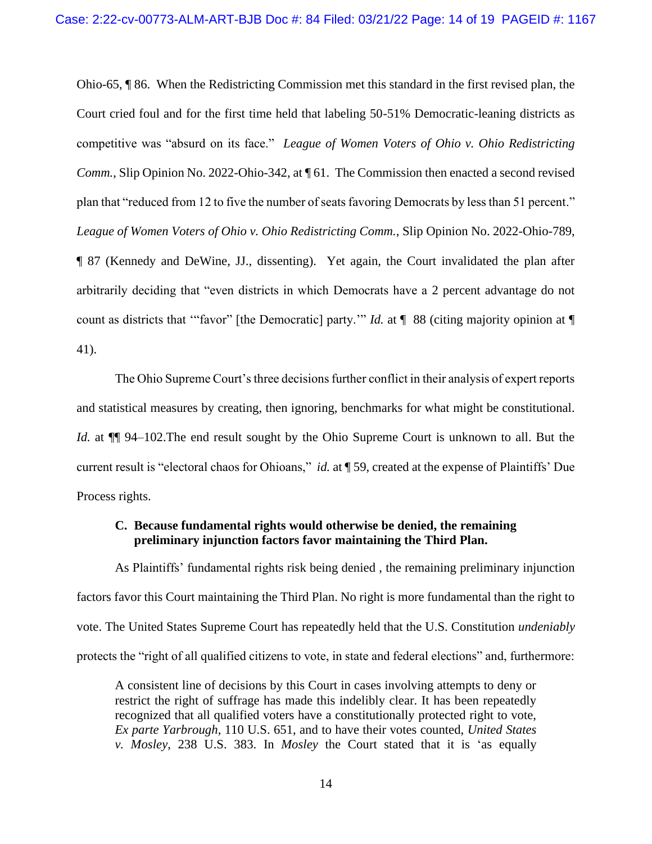Ohio-65, ¶ 86. When the Redistricting Commission met this standard in the first revised plan, the Court cried foul and for the first time held that labeling 50-51% Democratic-leaning districts as competitive was "absurd on its face." *League of Women Voters of Ohio v. Ohio Redistricting Comm.*, Slip Opinion No. 2022-Ohio-342, at ¶ 61. The Commission then enacted a second revised plan that "reduced from 12 to five the number of seats favoring Democrats by less than 51 percent." *League of Women Voters of Ohio v. Ohio Redistricting Comm.*, Slip Opinion No. 2022-Ohio-789, ¶ 87 (Kennedy and DeWine, JJ., dissenting). Yet again, the Court invalidated the plan after arbitrarily deciding that "even districts in which Democrats have a 2 percent advantage do not count as districts that "favor" [the Democratic] party." *Id.* at  $\P$  88 (citing majority opinion at  $\P$ 41).

The Ohio Supreme Court's three decisions further conflict in their analysis of expert reports and statistical measures by creating, then ignoring, benchmarks for what might be constitutional. *Id.* at  $\P$  94–102. The end result sought by the Ohio Supreme Court is unknown to all. But the current result is "electoral chaos for Ohioans," *id.* at ¶ 59, created at the expense of Plaintiffs' Due Process rights.

### **C. Because fundamental rights would otherwise be denied, the remaining preliminary injunction factors favor maintaining the Third Plan.**

As Plaintiffs' fundamental rights risk being denied , the remaining preliminary injunction factors favor this Court maintaining the Third Plan. No right is more fundamental than the right to vote. The United States Supreme Court has repeatedly held that the U.S. Constitution *undeniably* protects the "right of all qualified citizens to vote, in state and federal elections" and, furthermore:

A consistent line of decisions by this Court in cases involving attempts to deny or restrict the right of suffrage has made this indelibly clear. It has been repeatedly recognized that all qualified voters have a constitutionally protected right to vote, *Ex parte Yarbrough*, 110 U.S. 651, and to have their votes counted, *United States v. Mosley*, 238 U.S. 383. In *Mosley* the Court stated that it is 'as equally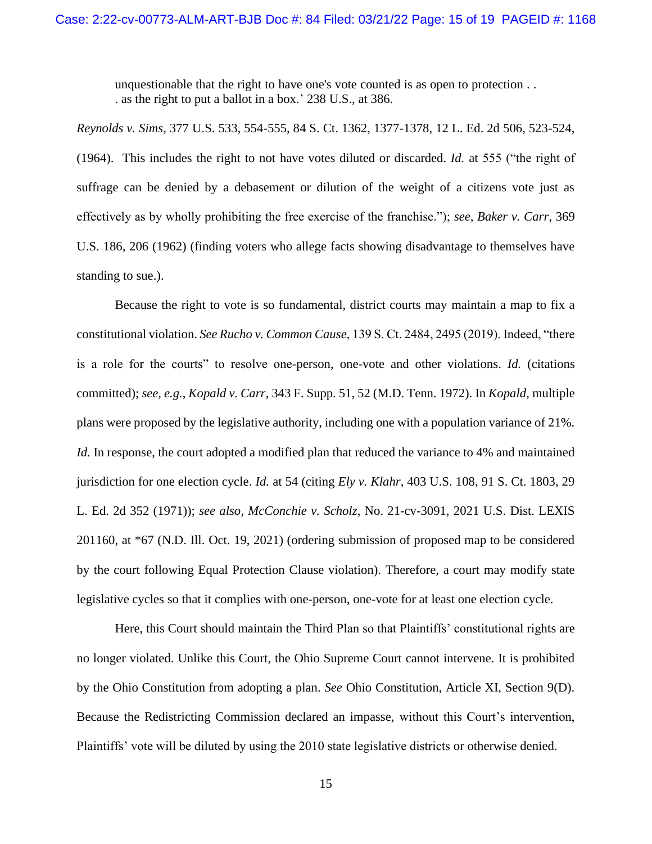unquestionable that the right to have one's vote counted is as open to protection . . . as the right to put a ballot in a box.' 238 U.S., at 386.

*Reynolds v. Sims*, 377 U.S. 533, 554-555, 84 S. Ct. 1362, 1377-1378, 12 L. Ed. 2d 506, 523-524, (1964). This includes the right to not have votes diluted or discarded. *Id.* at 555 ("the right of suffrage can be denied by a debasement or dilution of the weight of a citizens vote just as effectively as by wholly prohibiting the free exercise of the franchise."); *see, Baker v. Carr*, 369 U.S. 186, 206 (1962) (finding voters who allege facts showing disadvantage to themselves have standing to sue.).

Because the right to vote is so fundamental, district courts may maintain a map to fix a constitutional violation. *See Rucho v. Common Cause*, 139 S. Ct. 2484, 2495 (2019). Indeed, "there is a role for the courts" to resolve one-person, one-vote and other violations. *Id.* (citations committed); *see, e.g.*, *Kopald v. Carr*, 343 F. Supp. 51, 52 (M.D. Tenn. 1972). In *Kopald*, multiple plans were proposed by the legislative authority, including one with a population variance of 21%. *Id.* In response, the court adopted a modified plan that reduced the variance to 4% and maintained jurisdiction for one election cycle. *Id.* at 54 (citing *Ely v. Klahr*, 403 U.S. 108, 91 S. Ct. 1803, 29 L. Ed. 2d 352 (1971)); *see also, McConchie v. Scholz*, No. 21-cv-3091, 2021 U.S. Dist. LEXIS 201160, at \*67 (N.D. Ill. Oct. 19, 2021) (ordering submission of proposed map to be considered by the court following Equal Protection Clause violation). Therefore, a court may modify state legislative cycles so that it complies with one-person, one-vote for at least one election cycle.

Here, this Court should maintain the Third Plan so that Plaintiffs' constitutional rights are no longer violated. Unlike this Court, the Ohio Supreme Court cannot intervene. It is prohibited by the Ohio Constitution from adopting a plan. *See* Ohio Constitution, Article XI, Section 9(D). Because the Redistricting Commission declared an impasse, without this Court's intervention, Plaintiffs' vote will be diluted by using the 2010 state legislative districts or otherwise denied.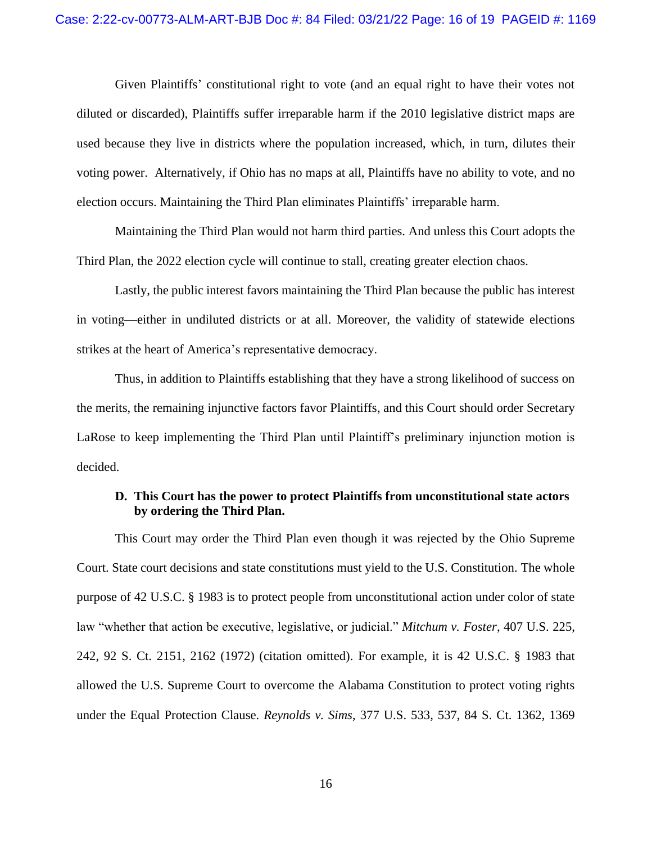Given Plaintiffs' constitutional right to vote (and an equal right to have their votes not diluted or discarded), Plaintiffs suffer irreparable harm if the 2010 legislative district maps are used because they live in districts where the population increased, which, in turn, dilutes their voting power. Alternatively, if Ohio has no maps at all, Plaintiffs have no ability to vote, and no election occurs. Maintaining the Third Plan eliminates Plaintiffs' irreparable harm.

Maintaining the Third Plan would not harm third parties. And unless this Court adopts the Third Plan, the 2022 election cycle will continue to stall, creating greater election chaos.

Lastly, the public interest favors maintaining the Third Plan because the public has interest in voting—either in undiluted districts or at all. Moreover, the validity of statewide elections strikes at the heart of America's representative democracy.

Thus, in addition to Plaintiffs establishing that they have a strong likelihood of success on the merits, the remaining injunctive factors favor Plaintiffs, and this Court should order Secretary LaRose to keep implementing the Third Plan until Plaintiff's preliminary injunction motion is decided.

# **D. This Court has the power to protect Plaintiffs from unconstitutional state actors by ordering the Third Plan.**

This Court may order the Third Plan even though it was rejected by the Ohio Supreme Court. State court decisions and state constitutions must yield to the U.S. Constitution. The whole purpose of 42 U.S.C. § 1983 is to protect people from unconstitutional action under color of state law "whether that action be executive, legislative, or judicial." *Mitchum v. Foster*, 407 U.S. 225, 242, 92 S. Ct. 2151, 2162 (1972) (citation omitted). For example, it is 42 U.S.C. § 1983 that allowed the U.S. Supreme Court to overcome the Alabama Constitution to protect voting rights under the Equal Protection Clause. *Reynolds v. Sims*, 377 U.S. 533, 537, 84 S. Ct. 1362, 1369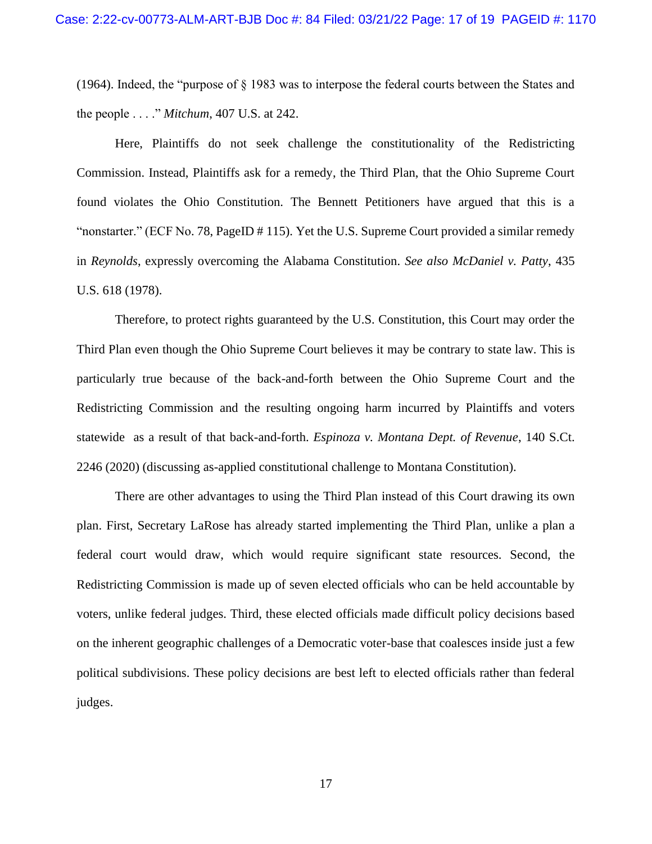(1964). Indeed, the "purpose of § 1983 was to interpose the federal courts between the States and the people . . . ." *Mitchum*, 407 U.S. at 242.

Here, Plaintiffs do not seek challenge the constitutionality of the Redistricting Commission. Instead, Plaintiffs ask for a remedy, the Third Plan, that the Ohio Supreme Court found violates the Ohio Constitution. The Bennett Petitioners have argued that this is a "nonstarter." (ECF No. 78, PageID # 115). Yet the U.S. Supreme Court provided a similar remedy in *Reynolds*, expressly overcoming the Alabama Constitution. *See also McDaniel v. Patty*, 435 U.S. 618 (1978).

Therefore, to protect rights guaranteed by the U.S. Constitution, this Court may order the Third Plan even though the Ohio Supreme Court believes it may be contrary to state law. This is particularly true because of the back-and-forth between the Ohio Supreme Court and the Redistricting Commission and the resulting ongoing harm incurred by Plaintiffs and voters statewide as a result of that back-and-forth. *Espinoza v. Montana Dept. of Revenue*, 140 S.Ct. 2246 (2020) (discussing as-applied constitutional challenge to Montana Constitution).

There are other advantages to using the Third Plan instead of this Court drawing its own plan. First, Secretary LaRose has already started implementing the Third Plan, unlike a plan a federal court would draw, which would require significant state resources. Second, the Redistricting Commission is made up of seven elected officials who can be held accountable by voters, unlike federal judges. Third, these elected officials made difficult policy decisions based on the inherent geographic challenges of a Democratic voter-base that coalesces inside just a few political subdivisions. These policy decisions are best left to elected officials rather than federal judges.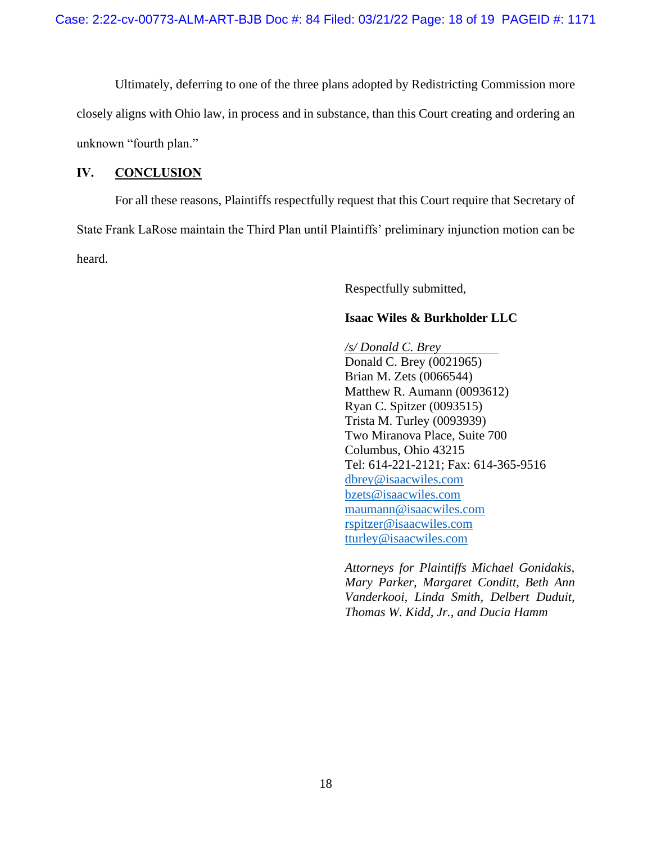Ultimately, deferring to one of the three plans adopted by Redistricting Commission more closely aligns with Ohio law, in process and in substance, than this Court creating and ordering an unknown "fourth plan."

## **IV. CONCLUSION**

For all these reasons, Plaintiffs respectfully request that this Court require that Secretary of State Frank LaRose maintain the Third Plan until Plaintiffs' preliminary injunction motion can be heard.

Respectfully submitted,

## **Isaac Wiles & Burkholder LLC**

*/s/ Donald C. Brey* Donald C. Brey (0021965) Brian M. Zets (0066544) Matthew R. Aumann (0093612) Ryan C. Spitzer (0093515) Trista M. Turley (0093939) Two Miranova Place, Suite 700 Columbus, Ohio 43215 Tel: 614-221-2121; Fax: 614-365-9516 [dbrey@isaacwiles.com](mailto:dbrey@isaacwiles.com) [bzets@isaacwiles.com](mailto:bzets@isaacwiles.com) [maumann@isaacwiles.com](mailto:maumann@isaacwiles.com) [rspitzer@isaacwiles.com](mailto:rspitzer@isaacwiles.com) tturley@isaacwiles.com

*Attorneys for Plaintiffs Michael Gonidakis, Mary Parker, Margaret Conditt, Beth Ann Vanderkooi, Linda Smith, Delbert Duduit, Thomas W. Kidd, Jr., and Ducia Hamm*